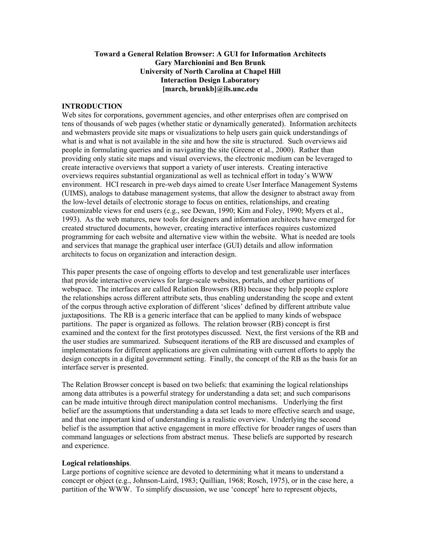# **Toward a General Relation Browser: A GUI for Information Architects Gary Marchionini and Ben Brunk University of North Carolina at Chapel Hill Interaction Design Laboratory [march, brunkb]@ils.unc.edu**

### **INTRODUCTION**

Web sites for corporations, government agencies, and other enterprises often are comprised on tens of thousands of web pages (whether static or dynamically generated). Information architects and webmasters provide site maps or visualizations to help users gain quick understandings of what is and what is not available in the site and how the site is structured. Such overviews aid people in formulating queries and in navigating the site (Greene et al., 2000). Rather than providing only static site maps and visual overviews, the electronic medium can be leveraged to create interactive overviews that support a variety of user interests. Creating interactive overviews requires substantial organizational as well as technical effort in today's WWW environment. HCI research in pre-web days aimed to create User Interface Management Systems (UIMS), analogs to database management systems, that allow the designer to abstract away from the low-level details of electronic storage to focus on entities, relationships, and creating customizable views for end users (e.g., see Dewan, 1990; Kim and Foley, 1990; Myers et al., 1993). As the web matures, new tools for designers and information architects have emerged for created structured documents, however, creating interactive interfaces requires customized programming for each website and alternative view within the website. What is needed are tools and services that manage the graphical user interface (GUI) details and allow information architects to focus on organization and interaction design.

This paper presents the case of ongoing efforts to develop and test generalizable user interfaces that provide interactive overviews for large-scale websites, portals, and other partitions of webspace. The interfaces are called Relation Browsers (RB) because they help people explore the relationships across different attribute sets, thus enabling understanding the scope and extent of the corpus through active exploration of different 'slices' defined by different attribute value juxtapositions. The RB is a generic interface that can be applied to many kinds of webspace partitions. The paper is organized as follows. The relation browser (RB) concept is first examined and the context for the first prototypes discussed. Next, the first versions of the RB and the user studies are summarized. Subsequent iterations of the RB are discussed and examples of implementations for different applications are given culminating with current efforts to apply the design concepts in a digital government setting. Finally, the concept of the RB as the basis for an interface server is presented.

The Relation Browser concept is based on two beliefs: that examining the logical relationships among data attributes is a powerful strategy for understanding a data set; and such comparisons can be made intuitive through direct manipulation control mechanisms. Underlying the first belief are the assumptions that understanding a data set leads to more effective search and usage, and that one important kind of understanding is a realistic overview. Underlying the second belief is the assumption that active engagement in more effective for broader ranges of users than command languages or selections from abstract menus. These beliefs are supported by research and experience.

#### **Logical relationships**.

Large portions of cognitive science are devoted to determining what it means to understand a concept or object (e.g., Johnson-Laird, 1983; Quillian, 1968; Rosch, 1975), or in the case here, a partition of the WWW. To simplify discussion, we use 'concept' here to represent objects,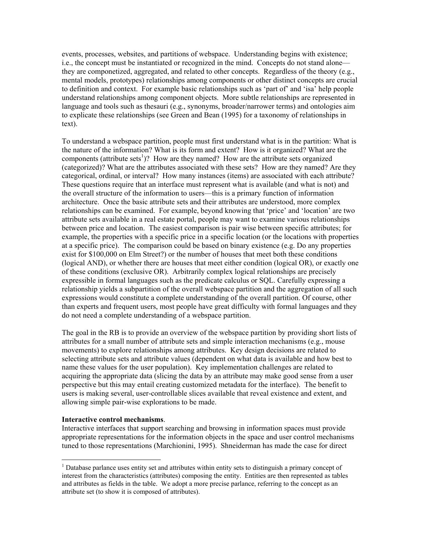events, processes, websites, and partitions of webspace. Understanding begins with existence; i.e., the concept must be instantiated or recognized in the mind. Concepts do not stand alone they are componetized, aggregated, and related to other concepts. Regardless of the theory (e.g., mental models, prototypes) relationships among components or other distinct concepts are crucial to definition and context. For example basic relationships such as 'part of' and 'isa' help people understand relationships among component objects. More subtle relationships are represented in language and tools such as thesauri (e.g., synonyms, broader/narrower terms) and ontologies aim to explicate these relationships (see Green and Bean (1995) for a taxonomy of relationships in text).

To understand a webspace partition, people must first understand what is in the partition: What is the nature of the information? What is its form and extent? How is it organized? What are the components (attribute sets<sup>[1](#page-1-0)</sup>)? How are they named? How are the attribute sets organized (categorized)? What are the attributes associated with these sets? How are they named? Are they categorical, ordinal, or interval? How many instances (items) are associated with each attribute? These questions require that an interface must represent what is available (and what is not) and the overall structure of the information to users—this is a primary function of information architecture. Once the basic attribute sets and their attributes are understood, more complex relationships can be examined. For example, beyond knowing that 'price' and 'location' are two attribute sets available in a real estate portal, people may want to examine various relationships between price and location. The easiest comparison is pair wise between specific attributes; for example, the properties with a specific price in a specific location (or the locations with properties at a specific price). The comparison could be based on binary existence (e.g. Do any properties exist for \$100,000 on Elm Street?) or the number of houses that meet both these conditions (logical AND), or whether there are houses that meet either condition (logical OR), or exactly one of these conditions (exclusive OR). Arbitrarily complex logical relationships are precisely expressible in formal languages such as the predicate calculus or SQL. Carefully expressing a relationship yields a subpartition of the overall webspace partition and the aggregation of all such expressions would constitute a complete understanding of the overall partition. Of course, other than experts and frequent users, most people have great difficulty with formal languages and they do not need a complete understanding of a webspace partition.

The goal in the RB is to provide an overview of the webspace partition by providing short lists of attributes for a small number of attribute sets and simple interaction mechanisms (e.g., mouse movements) to explore relationships among attributes. Key design decisions are related to selecting attribute sets and attribute values (dependent on what data is available and how best to name these values for the user population). Key implementation challenges are related to acquiring the appropriate data (slicing the data by an attribute may make good sense from a user perspective but this may entail creating customized metadata for the interface). The benefit to users is making several, user-controllable slices available that reveal existence and extent, and allowing simple pair-wise explorations to be made.

#### **Interactive control mechanisms**.

 $\overline{a}$ 

Interactive interfaces that support searching and browsing in information spaces must provide appropriate representations for the information objects in the space and user control mechanisms tuned to those representations (Marchionini, 1995). Shneiderman has made the case for direct

<span id="page-1-0"></span> $<sup>1</sup>$  Database parlance uses entity set and attributes within entity sets to distinguish a primary concept of</sup> interest from the characteristics (attributes) composing the entity. Entities are then represented as tables and attributes as fields in the table. We adopt a more precise parlance, referring to the concept as an attribute set (to show it is composed of attributes).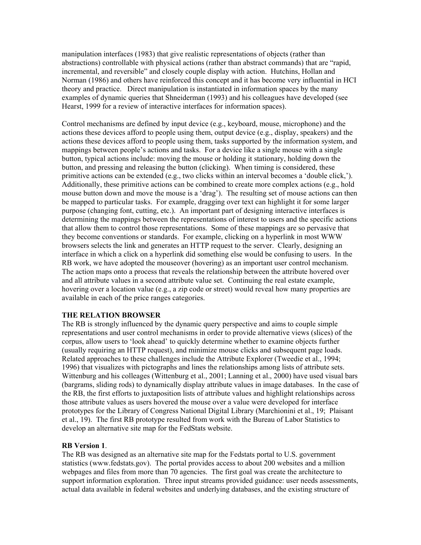manipulation interfaces (1983) that give realistic representations of objects (rather than abstractions) controllable with physical actions (rather than abstract commands) that are "rapid, incremental, and reversible" and closely couple display with action. Hutchins, Hollan and Norman (1986) and others have reinforced this concept and it has become very influential in HCI theory and practice. Direct manipulation is instantiated in information spaces by the many examples of dynamic queries that Shneiderman (1993) and his colleagues have developed (see Hearst, 1999 for a review of interactive interfaces for information spaces).

Control mechanisms are defined by input device (e.g., keyboard, mouse, microphone) and the actions these devices afford to people using them, output device (e.g., display, speakers) and the actions these devices afford to people using them, tasks supported by the information system, and mappings between people's actions and tasks. For a device like a single mouse with a single button, typical actions include: moving the mouse or holding it stationary, holding down the button, and pressing and releasing the button (clicking). When timing is considered, these primitive actions can be extended (e.g., two clicks within an interval becomes a 'double click,'). Additionally, these primitive actions can be combined to create more complex actions (e.g., hold mouse button down and move the mouse is a 'drag'). The resulting set of mouse actions can then be mapped to particular tasks. For example, dragging over text can highlight it for some larger purpose (changing font, cutting, etc.). An important part of designing interactive interfaces is determining the mappings between the representations of interest to users and the specific actions that allow them to control those representations. Some of these mappings are so pervasive that they become conventions or standards. For example, clicking on a hyperlink in most WWW browsers selects the link and generates an HTTP request to the server. Clearly, designing an interface in which a click on a hyperlink did something else would be confusing to users. In the RB work, we have adopted the mouseover (hovering) as an important user control mechanism. The action maps onto a process that reveals the relationship between the attribute hovered over and all attribute values in a second attribute value set. Continuing the real estate example, hovering over a location value (e.g., a zip code or street) would reveal how many properties are available in each of the price ranges categories.

# **THE RELATION BROWSER**

The RB is strongly influenced by the dynamic query perspective and aims to couple simple representations and user control mechanisms in order to provide alternative views (slices) of the corpus, allow users to 'look ahead' to quickly determine whether to examine objects further (usually requiring an HTTP request), and minimize mouse clicks and subsequent page loads. Related approaches to these challenges include the Attribute Explorer (Tweedie et al., 1994; 1996) that visualizes with pictographs and lines the relationships among lists of attribute sets. Wittenburg and his colleages (Wittenburg et al., 2001; Lanning et al., 2000) have used visual bars (bargrams, sliding rods) to dynamically display attribute values in image databases. In the case of the RB, the first efforts to juxtaposition lists of attribute values and highlight relationships across those attribute values as users hovered the mouse over a value were developed for interface prototypes for the Library of Congress National Digital Library (Marchionini et al., 19; Plaisant et al., 19). The first RB prototype resulted from work with the Bureau of Labor Statistics to develop an alternative site map for the FedStats website.

#### **RB Version 1**.

The RB was designed as an alternative site map for the Fedstats portal to U.S. government statistics (www.fedstats.gov). The portal provides access to about 200 websites and a million webpages and files from more than 70 agencies. The first goal was create the architecture to support information exploration. Three input streams provided guidance: user needs assessments, actual data available in federal websites and underlying databases, and the existing structure of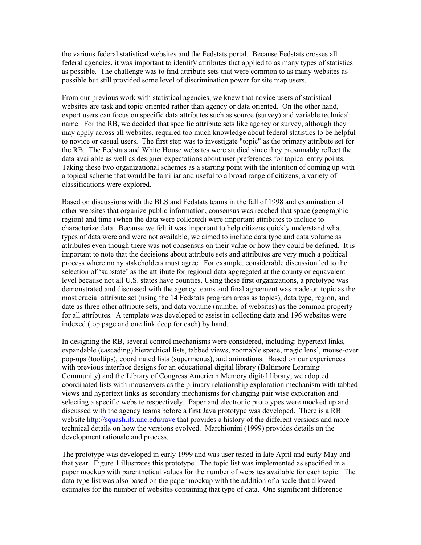the various federal statistical websites and the Fedstats portal. Because Fedstats crosses all federal agencies, it was important to identify attributes that applied to as many types of statistics as possible. The challenge was to find attribute sets that were common to as many websites as possible but still provided some level of discrimination power for site map users.

From our previous work with statistical agencies, we knew that novice users of statistical websites are task and topic oriented rather than agency or data oriented. On the other hand, expert users can focus on specific data attributes such as source (survey) and variable technical name. For the RB, we decided that specific attribute sets like agency or survey, although they may apply across all websites, required too much knowledge about federal statistics to be helpful to novice or casual users. The first step was to investigate "topic" as the primary attribute set for the RB. The Fedstats and White House websites were studied since they presumably reflect the data available as well as designer expectations about user preferences for topical entry points. Taking these two organizational schemes as a starting point with the intention of coming up with a topical scheme that would be familiar and useful to a broad range of citizens, a variety of classifications were explored.

Based on discussions with the BLS and Fedstats teams in the fall of 1998 and examination of other websites that organize public information, consensus was reached that space (geographic region) and time (when the data were collected) were important attributes to include to characterize data. Because we felt it was important to help citizens quickly understand what types of data were and were not available, we aimed to include data type and data volume as attributes even though there was not consensus on their value or how they could be defined. It is important to note that the decisions about attribute sets and attributes are very much a political process where many stakeholders must agree. For example, considerable discussion led to the selection of 'substate' as the attribute for regional data aggregated at the county or equavalent level because not all U.S. states have counties. Using these first organizations, a prototype was demonstrated and discussed with the agency teams and final agreement was made on topic as the most crucial attribute set (using the 14 Fedstats program areas as topics), data type, region, and date as three other attribute sets, and data volume (number of websites) as the common property for all attributes. A template was developed to assist in collecting data and 196 websites were indexed (top page and one link deep for each) by hand.

In designing the RB, several control mechanisms were considered, including: hypertext links, expandable (cascading) hierarchical lists, tabbed views, zoomable space, magic lens', mouse-over pop-ups (tooltips), coordinated lists (supermenus), and animations. Based on our experiences with previous interface designs for an educational digital library (Baltimore Learning Community) and the Library of Congress American Memory digital library, we adopted coordinated lists with mouseovers as the primary relationship exploration mechanism with tabbed views and hypertext links as secondary mechanisms for changing pair wise exploration and selecting a specific website respectively. Paper and electronic prototypes were mocked up and discussed with the agency teams before a first Java prototype was developed. There is a RB website<http://squash.ils.unc.edu/rave>that provides a history of the different versions and more technical details on how the versions evolved. Marchionini (1999) provides details on the development rationale and process.

The prototype was developed in early 1999 and was user tested in late April and early May and that year. Figure 1 illustrates this prototype. The topic list was implemented as specified in a paper mockup with parenthetical values for the number of websites available for each topic. The data type list was also based on the paper mockup with the addition of a scale that allowed estimates for the number of websites containing that type of data. One significant difference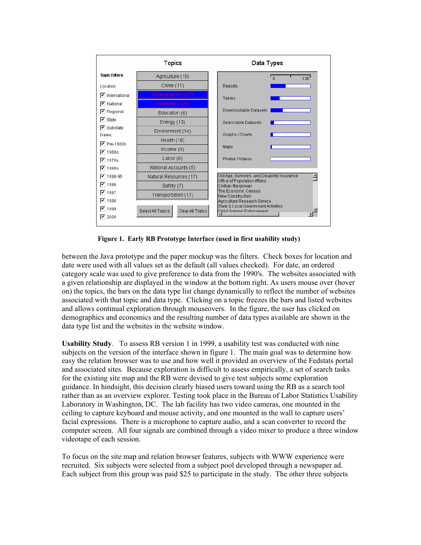

**Figure 1. Early RB Prototype Interface (used in first usability study)** 

between the Java prototype and the paper mockup was the filters. Check boxes for location and date were used with all values set as the default (all values checked). For date, an ordered category scale was used to give preference to data from the 1990's. The websites associated with a given relationship are displayed in the window at the bottom right. As users mouse over (hover on) the topics, the bars on the data type list change dynamically to reflect the number of websites associated with that topic and data type. Clicking on a topic freezes the bars and listed websites and allows continual exploration through mouseovers. In the figure, the user has clicked on demographics and economics and the resulting number of data types available are shown in the data type list and the websites in the website window.

**Usability Study**. To assess RB version 1 in 1999, a usability test was conducted with nine subjects on the version of the interface shown in figure 1. The main goal was to determine how easy the relation browser was to use and how well it provided an overview of the Fedstats portal and associated sites. Because exploration is difficult to assess empirically, a set of search tasks for the existing site map and the RB were devised to give test subjects some exploration guidance. In hindsight, this decision clearly biased users toward using the RB as a search tool rather than as an overview explorer. Testing took place in the Bureau of Labor Statistics Usability Laboratory in Washington, DC. The lab facility has two video cameras, one mounted in the ceiling to capture keyboard and mouse activity, and one mounted in the wall to capture users' facial expressions. There is a microphone to capture audio, and a scan converter to record the computer screen. All four signals are combined through a video mixer to produce a three window videotape of each session.

To focus on the site map and relation browser features, subjects with WWW experience were recruited. Six subjects were selected from a subject pool developed through a newspaper ad. Each subject from this group was paid \$25 to participate in the study. The other three subjects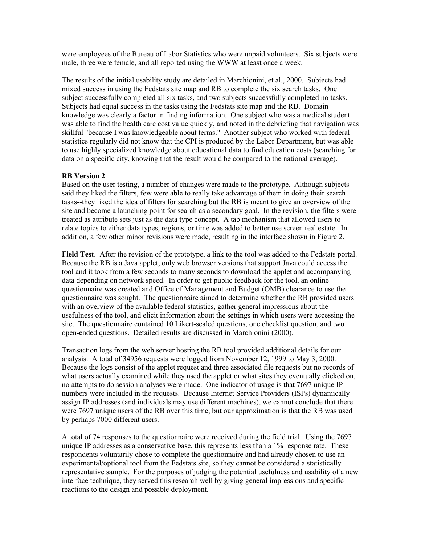were employees of the Bureau of Labor Statistics who were unpaid volunteers. Six subjects were male, three were female, and all reported using the WWW at least once a week.

The results of the initial usability study are detailed in Marchionini, et al., 2000. Subjects had mixed success in using the Fedstats site map and RB to complete the six search tasks. One subject successfully completed all six tasks, and two subjects successfully completed no tasks. Subjects had equal success in the tasks using the Fedstats site map and the RB. Domain knowledge was clearly a factor in finding information. One subject who was a medical student was able to find the health care cost value quickly, and noted in the debriefing that navigation was skillful "because I was knowledgeable about terms." Another subject who worked with federal statistics regularly did not know that the CPI is produced by the Labor Department, but was able to use highly specialized knowledge about educational data to find education costs (searching for data on a specific city, knowing that the result would be compared to the national average).

# **RB Version 2**

Based on the user testing, a number of changes were made to the prototype. Although subjects said they liked the filters, few were able to really take advantage of them in doing their search tasks--they liked the idea of filters for searching but the RB is meant to give an overview of the site and become a launching point for search as a secondary goal. In the revision, the filters were treated as attribute sets just as the data type concept. A tab mechanism that allowed users to relate topics to either data types, regions, or time was added to better use screen real estate. In addition, a few other minor revisions were made, resulting in the interface shown in Figure 2.

**Field Test**. After the revision of the prototype, a link to the tool was added to the Fedstats portal. Because the RB is a Java applet, only web browser versions that support Java could access the tool and it took from a few seconds to many seconds to download the applet and accompanying data depending on network speed. In order to get public feedback for the tool, an online questionnaire was created and Office of Management and Budget (OMB) clearance to use the questionnaire was sought. The questionnaire aimed to determine whether the RB provided users with an overview of the available federal statistics, gather general impressions about the usefulness of the tool, and elicit information about the settings in which users were accessing the site. The questionnaire contained 10 Likert-scaled questions, one checklist question, and two open-ended questions. Detailed results are discussed in Marchionini (2000).

Transaction logs from the web server hosting the RB tool provided additional details for our analysis. A total of 34956 requests were logged from November 12, 1999 to May 3, 2000. Because the logs consist of the applet request and three associated file requests but no records of what users actually examined while they used the applet or what sites they eventually clicked on, no attempts to do session analyses were made. One indicator of usage is that 7697 unique IP numbers were included in the requests. Because Internet Service Providers (ISPs) dynamically assign IP addresses (and individuals may use different machines), we cannot conclude that there were 7697 unique users of the RB over this time, but our approximation is that the RB was used by perhaps 7000 different users.

A total of 74 responses to the questionnaire were received during the field trial. Using the 7697 unique IP addresses as a conservative base, this represents less than a 1% response rate. These respondents voluntarily chose to complete the questionnaire and had already chosen to use an experimental/optional tool from the Fedstats site, so they cannot be considered a statistically representative sample. For the purposes of judging the potential usefulness and usability of a new interface technique, they served this research well by giving general impressions and specific reactions to the design and possible deployment.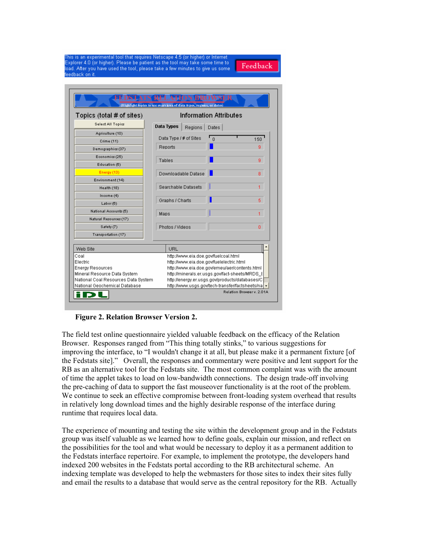| his is an experimental tool that requires Netscape 4.5 (or higher) or Internet |        |
|--------------------------------------------------------------------------------|--------|
| Explorer 4.0 (or higher). Please be patient as the tool may take some time to: | Feedba |
| oad. After you have used the tool, please take a few minutes to give us some i |        |
| eedback on it.                                                                 |        |
|                                                                                |        |

| Topics (total # of sites)           | <b>Information Attributes</b>                 |                                                 |                                                |          |                                                |     |  |  |
|-------------------------------------|-----------------------------------------------|-------------------------------------------------|------------------------------------------------|----------|------------------------------------------------|-----|--|--|
| Select All Topics                   | Data Types                                    |                                                 | Regions                                        | Dates    |                                                |     |  |  |
| Agriculture (10)                    |                                               |                                                 |                                                |          |                                                |     |  |  |
| Crime (11)                          |                                               |                                                 | Data Type / # of Sites                         | $\Omega$ |                                                | 150 |  |  |
| Demographics (37)                   | Reports                                       |                                                 |                                                |          |                                                | ğ   |  |  |
| Economics (25)                      |                                               |                                                 |                                                |          |                                                |     |  |  |
| Education (6)                       | Tables                                        |                                                 |                                                |          |                                                | g   |  |  |
| Energy (13)                         |                                               |                                                 | Downloadable Datase                            |          |                                                | 8   |  |  |
| Environment (14)                    |                                               |                                                 |                                                |          |                                                |     |  |  |
| Health (18)                         |                                               |                                                 | <b>Searchable Datasets</b>                     |          |                                                |     |  |  |
| Income (4)                          |                                               |                                                 |                                                |          |                                                |     |  |  |
| Labor(6)                            |                                               | Graphs / Charts                                 |                                                |          |                                                | 5.  |  |  |
| National Accounts (5)               | Maps                                          |                                                 |                                                |          |                                                |     |  |  |
| Natural Resources (17)              |                                               |                                                 |                                                |          |                                                |     |  |  |
| Safety (7)                          |                                               | Photos / Videos                                 |                                                |          |                                                | n   |  |  |
| Transportation (17)                 |                                               |                                                 |                                                |          |                                                |     |  |  |
| Web Site                            |                                               | URL                                             |                                                |          |                                                |     |  |  |
| Coal                                | http://www.eia.doe.gov/fuelcoal.html          |                                                 |                                                |          |                                                |     |  |  |
| Electric                            |                                               |                                                 | http://www.eia.doe.gov/fuelelectric.html       |          |                                                |     |  |  |
| <b>Energy Resources</b>             | http://www.eia.doe.gov/emeu/aer/contents.html |                                                 |                                                |          |                                                |     |  |  |
| Mineral Resource Data System        |                                               |                                                 | http://minerals.er.usgs.gov/fact-sheets/MRDS [ |          |                                                |     |  |  |
| National Coal Resources Data System |                                               |                                                 |                                                |          | http://energy.er.usgs.gov/products/databases/C |     |  |  |
| National Geochemical Database       |                                               | http://www.usgs.gov/tech-transfer/factsheets/na |                                                |          |                                                |     |  |  |

 **Figure 2. Relation Browser Version 2.** 

The field test online questionnaire yielded valuable feedback on the efficacy of the Relation Browser. Responses ranged from "This thing totally stinks," to various suggestions for improving the interface, to "I wouldn't change it at all, but please make it a permanent fixture [of the Fedstats site]." Overall, the responses and commentary were positive and lent support for the RB as an alternative tool for the Fedstats site. The most common complaint was with the amount of time the applet takes to load on low-bandwidth connections. The design trade-off involving the pre-caching of data to support the fast mouseover functionality is at the root of the problem. We continue to seek an effective compromise between front-loading system overhead that results in relatively long download times and the highly desirable response of the interface during runtime that requires local data.

The experience of mounting and testing the site within the development group and in the Fedstats group was itself valuable as we learned how to define goals, explain our mission, and reflect on the possibilities for the tool and what would be necessary to deploy it as a permanent addition to the Fedstats interface repertoire. For example, to implement the prototype, the developers hand indexed 200 websites in the Fedstats portal according to the RB architectural scheme. An indexing template was developed to help the webmasters for those sites to index their sites fully and email the results to a database that would serve as the central repository for the RB. Actually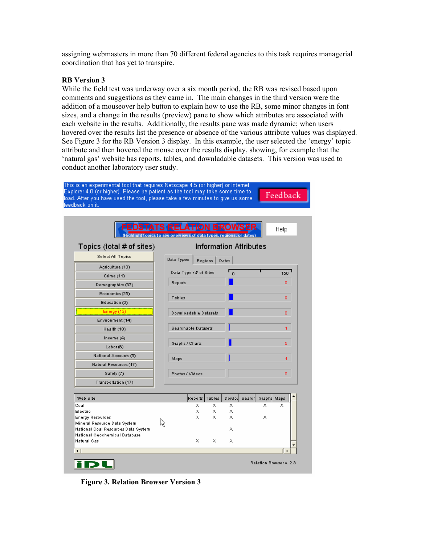assigning webmasters in more than 70 different federal agencies to this task requires managerial coordination that has yet to transpire.

### **RB Version 3**

While the field test was underway over a six month period, the RB was revised based upon comments and suggestions as they came in. The main changes in the third version were the addition of a mouseover help button to explain how to use the RB, some minor changes in font sizes, and a change in the results (preview) pane to show which attributes are associated with each website in the results. Additionally, the results pane was made dynamic; when users hovered over the results list the presence or absence of the various attribute values was displayed. See Figure 3 for the RB Version 3 display. In this example, the user selected the 'energy' topic attribute and then hovered the mouse over the results display, showing, for example that the 'natural gas' website has reports, tables, and downladable datasets. This version was used to conduct another laboratory user study.



his is an experimental tool that requires Netscape 4.5 (or higher) or Internet

 **Figure 3. Relation Browser Version 3**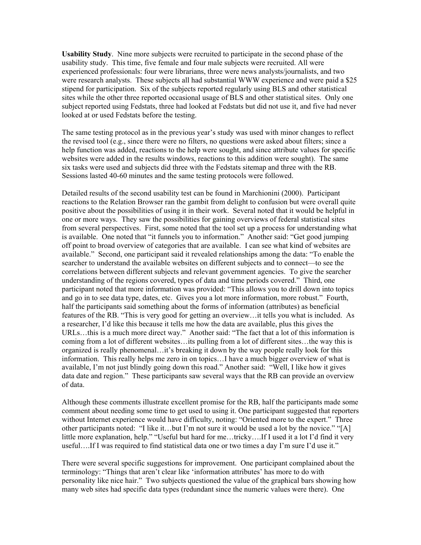**Usability Study**. Nine more subjects were recruited to participate in the second phase of the usability study. This time, five female and four male subjects were recruited. All were experienced professionals: four were librarians, three were news analysts/journalists, and two were research analysts. These subjects all had substantial WWW experience and were paid a \$25 stipend for participation. Six of the subjects reported regularly using BLS and other statistical sites while the other three reported occasional usage of BLS and other statistical sites. Only one subject reported using Fedstats, three had looked at Fedstats but did not use it, and five had never looked at or used Fedstats before the testing.

The same testing protocol as in the previous year's study was used with minor changes to reflect the revised tool (e.g., since there were no filters, no questions were asked about filters; since a help function was added, reactions to the help were sought, and since attribute values for specific websites were added in the results windows, reactions to this addition were sought). The same six tasks were used and subjects did three with the Fedstats sitemap and three with the RB. Sessions lasted 40-60 minutes and the same testing protocols were followed.

Detailed results of the second usability test can be found in Marchionini (2000). Participant reactions to the Relation Browser ran the gambit from delight to confusion but were overall quite positive about the possibilities of using it in their work. Several noted that it would be helpful in one or more ways. They saw the possibilities for gaining overviews of federal statistical sites from several perspectives. First, some noted that the tool set up a process for understanding what is available. One noted that "it funnels you to information." Another said: "Get good jumping off point to broad overview of categories that are available. I can see what kind of websites are available." Second, one participant said it revealed relationships among the data: "To enable the searcher to understand the available websites on different subjects and to connect—to see the correlations between different subjects and relevant government agencies. To give the searcher understanding of the regions covered, types of data and time periods covered." Third, one participant noted that more information was provided: "This allows you to drill down into topics and go in to see data type, dates, etc. Gives you a lot more information, more robust." Fourth, half the participants said something about the forms of information (attributes) as beneficial features of the RB. "This is very good for getting an overview…it tells you what is included. As a researcher, I'd like this because it tells me how the data are available, plus this gives the URLs…this is a much more direct way." Another said: "The fact that a lot of this information is coming from a lot of different websites…its pulling from a lot of different sites…the way this is organized is really phenomenal…it's breaking it down by the way people really look for this information. This really helps me zero in on topics…I have a much bigger overview of what is available, I'm not just blindly going down this road." Another said: "Well, I like how it gives data date and region." These participants saw several ways that the RB can provide an overview of data.

Although these comments illustrate excellent promise for the RB, half the participants made some comment about needing some time to get used to using it. One participant suggested that reporters without Internet experience would have difficulty, noting: "Oriented more to the expert." Three other participants noted: "I like it…but I'm not sure it would be used a lot by the novice." "[A] little more explanation, help." "Useful but hard for me…tricky….If I used it a lot I'd find it very useful….If I was required to find statistical data one or two times a day I'm sure I'd use it."

There were several specific suggestions for improvement. One participant complained about the terminology: "Things that aren't clear like 'information attributes' has more to do with personality like nice hair." Two subjects questioned the value of the graphical bars showing how many web sites had specific data types (redundant since the numeric values were there). One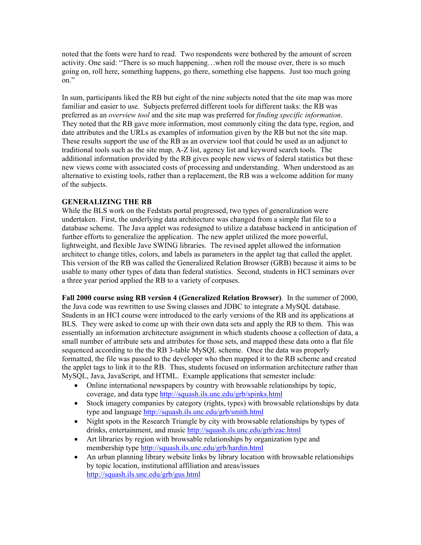noted that the fonts were hard to read. Two respondents were bothered by the amount of screen activity. One said: "There is so much happening…when roll the mouse over, there is so much going on, roll here, something happens, go there, something else happens. Just too much going on."

In sum, participants liked the RB but eight of the nine subjects noted that the site map was more familiar and easier to use. Subjects preferred different tools for different tasks: the RB was preferred as an *overview tool* and the site map was preferred for *finding specific information*. They noted that the RB gave more information, most commonly citing the data type, region, and date attributes and the URLs as examples of information given by the RB but not the site map. These results support the use of the RB as an overview tool that could be used as an adjunct to traditional tools such as the site map, A-Z list, agency list and keyword search tools. The additional information provided by the RB gives people new views of federal statistics but these new views come with associated costs of processing and understanding. When understood as an alternative to existing tools, rather than a replacement, the RB was a welcome addition for many of the subjects.

# **GENERALIZING THE RB**

While the BLS work on the Fedstats portal progressed, two types of generalization were undertaken. First, the underlying data architecture was changed from a simple flat file to a database scheme. The Java applet was redesigned to utilize a database backend in anticipation of further efforts to generalize the application. The new applet utilized the more powerful, lightweight, and flexible Jave SWING libraries. The revised applet allowed the information architect to change titles, colors, and labels as parameters in the applet tag that called the applet. This version of the RB was called the Generalized Relation Browser (GRB) because it aims to be usable to many other types of data than federal statistics. Second, students in HCI seminars over a three year period applied the RB to a variety of corpuses.

**Fall 2000 course using RB version 4 (Generalized Relation Browser)**. In the summer of 2000, the Java code was rewritten to use Swing classes and JDBC to integrate a MySQL database. Students in an HCI course were introduced to the early versions of the RB and its applications at BLS. They were asked to come up with their own data sets and apply the RB to them. This was essentially an information architecture assignment in which students choose a collection of data, a small number of attribute sets and attributes for those sets, and mapped these data onto a flat file sequenced according to the the RB 3-table MySQL scheme. Once the data was properly formatted, the file was passed to the developer who then mapped it to the RB scheme and created the applet tags to link it to the RB. Thus, students focused on information architecture rather than MySQL, Java, JavaScript, and HTML. Example applications that semester include:

- Online international newspapers by country with browsable relationships by topic, coverage, and data type <http://squash.ils.unc.edu/grb/spinks.html>
- Stock imagery companies by category (rights, types) with browsable relationships by data type and language <http://squash.ils.unc.edu/grb/smith.html>
- Night spots in the Research Triangle by city with browsable relationships by types of drinks, entertainment, and music <http://squash.ils.unc.edu/grb/zac.html>
- Art libraries by region with browsable relationships by organization type and membership type <http://squash.ils.unc.edu/grb/hardin.html>
- An urban planning library website links by library location with browsable relationships by topic location, institutional affiliation and areas/issues <http://squash.ils.unc.edu/grb/gus.html>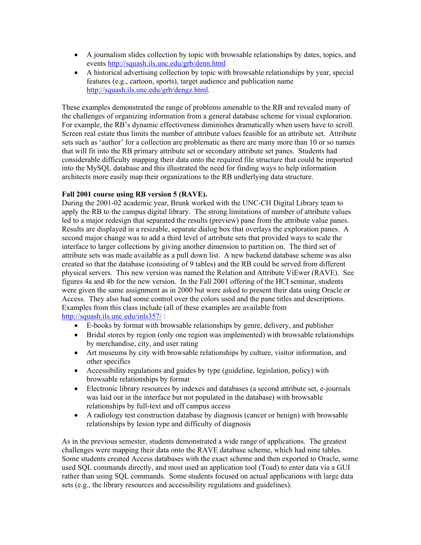- A journalism slides collection by topic with browsable relationships by dates, topics, and events <http://squash.ils.unc.edu/grb/denn.html>
- A historical advertising collection by topic with browsable relationships by year, special features (e.g., cartoon, sports), target audience and publication name [http://squash.ils.unc.edu/grb/dengz.html.](http://squash.ils.unc.edu/grb/dengz.html)

These examples demonstrated the range of problems amenable to the RB and revealed many of the challenges of organizing information from a general database scheme for visual exploration. For example, the RB's dynamic effectiveness diminishes dramatically when users have to scroll. Screen real estate thus limits the number of attribute values feasible for an attribute set. Attribute sets such as 'author' for a collection are problematic as there are many more than 10 or so names that will fit into the RB primary attribute set or secondary attribute set panes. Students had considerable difficulty mapping their data onto the required file structure that could be imported into the MySQL database and this illustrated the need for finding ways to help information architects more easily map their organizations to the RB undlerlying data structure.

# **Fall 2001 course using RB version 5 (RAVE).**

During the 2001-02 academic year, Brunk worked with the UNC-CH Digital Library team to apply the RB to the campus digital library. The strong limitations of number of attribute values led to a major redesign that separated the results (preview) pane from the attribute value panes. Results are displayed in a resizable, separate dialog box that overlays the exploration panes. A second major change was to add a third level of attribute sets that provided ways to scale the interface to larger collections by giving another dimension to partition on. The third set of attribute sets was made available as a pull down list. A new backend database scheme was also created so that the database (consisting of 9 tables) and the RB could be served from different physical servers. This new version was named the Relation and Attribute ViEwer (RAVE). See figures 4a and 4b for the new version. In the Fall 2001 offering of the HCI seminar, students were given the same assignment as in 2000 but were asked to present their data using Oracle or Access. They also had some control over the colors used and the pane titles and descriptions. Examples from this class include (all of these examples are available from <http://squash.ils.unc.edu/inls357/> :

- E-books by format with browsable relationships by genre, delivery, and publisher
- Bridal stores by region (only one region was implemented) with browsable relationships by merchandise, city, and user rating
- Art museums by city with browsable relationships by culture, visitor information, and other specifics
- Accessibility regulations and guides by type (guideline, legislation, policy) with browsable relationships by format
- Electronic library resources by indexes and databases (a second attribute set, e-journals was laid out in the interface but not populated in the database) with browsable relationships by full-text and off campus access
- A radiology test construction database by diagnosis (cancer or benign) with browsable relationships by lesion type and difficulty of diagnosis

As in the previous semester, students demonstrated a wide range of applications. The greatest challenges were mapping their data onto the RAVE database scheme, which had nine tables. Some students created Access databases with the exact scheme and then exported to Oracle, some used SQL commands directly, and most used an application tool (Toad) to enter data via a GUI rather than using SQL commands. Some students focused on actual applications with large data sets (e.g., the library resources and accessibility regulations and guidelines).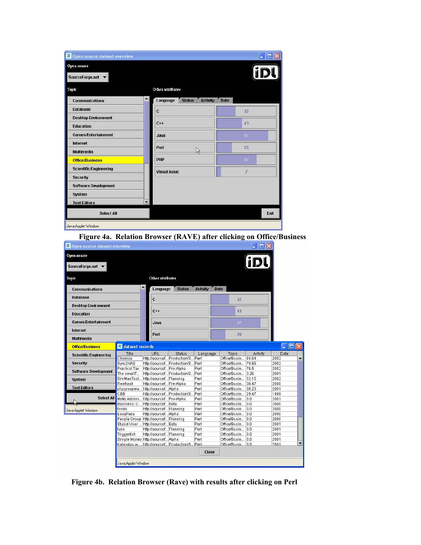| Open source<br>SourceForge.net $\blacktriangleright$ |                                              |             |
|------------------------------------------------------|----------------------------------------------|-------------|
| Topic                                                | Other attributes                             |             |
| <b>Communications</b>                                | <b>Status</b><br>Language<br><b>Activity</b> | <b>Date</b> |
| <b>Database</b>                                      | C                                            | 32          |
| <b>Desktop Environment</b>                           | $C++$                                        | 43          |
| <b>Education</b>                                     |                                              |             |
| <b>Games/Entertainment</b>                           | Java                                         | 87          |
| Internet                                             | Perl                                         | 25          |
| <b>Multimedia</b>                                    | b                                            |             |
| <b>Office/Business</b>                               | PHP                                          | 67          |
| <b>Scientific/Engineering</b>                        | <b>Visual basic</b>                          | 7           |
| <b>Security</b>                                      |                                              |             |
| <b>Software Development</b>                          |                                              |             |
| <b>System</b>                                        |                                              |             |
| <b>Text Editors</b>                                  | $\overline{\phantom{a}}$                     |             |
| <b>Select All</b>                                    |                                              | Exit        |

 **Figure 4a. Relation Browser (RAVE) after clicking on Office/Business**

| $R$ Open source dataset overview |                                      |                   |                         |                                                                      |      |                                |                                          | $ \Box$ $\times$ |              |  |
|----------------------------------|--------------------------------------|-------------------|-------------------------|----------------------------------------------------------------------|------|--------------------------------|------------------------------------------|------------------|--------------|--|
| <b>Open source</b>               |                                      |                   |                         |                                                                      |      |                                |                                          |                  |              |  |
| SourceForge.net                  |                                      |                   |                         |                                                                      |      |                                |                                          |                  |              |  |
| Topic                            |                                      |                   | Other attributes        |                                                                      |      |                                |                                          |                  |              |  |
| <b>Communications</b>            |                                      | $\blacktriangle$  | Language                | <b>Status</b>                                                        |      | <b>Activity</b><br><b>Date</b> |                                          |                  |              |  |
| <b>Database</b>                  |                                      |                   | C                       |                                                                      |      |                                | 32                                       |                  |              |  |
| <b>Desktop Environment</b>       |                                      |                   |                         |                                                                      |      |                                |                                          |                  |              |  |
| <b>Education</b>                 |                                      |                   | $C++$                   |                                                                      |      |                                | 43                                       |                  |              |  |
| <b>Games/Entertainment</b>       |                                      |                   | Java                    |                                                                      |      |                                | 87                                       |                  |              |  |
| Internet                         |                                      |                   |                         |                                                                      |      |                                |                                          |                  |              |  |
| <b>Multimedia</b>                |                                      |                   | Perl                    |                                                                      |      |                                | 25                                       |                  |              |  |
| <b>Office/Business</b>           |                                      | R dataset records |                         |                                                                      |      |                                |                                          |                  | <u>L. 10</u> |  |
| <b>Scientific/Engineering</b>    | Title                                |                   | URL                     | <b>Status</b>                                                        |      | Language                       | Topic                                    | Activity         | Date         |  |
| Security                         | Chronos<br>Sync2NAS                  |                   |                         | http://sourcef Production/S Perl<br>http://sourcef Production/S Perl |      |                                | Office/Busin 84.64<br>Office/Busin 79.86 |                  | 2002<br>2002 |  |
|                                  | Practical Tax                        |                   |                         | http://sourcef Pre-Alpha                                             | Perl |                                | Office/Busin 76.5                        |                  | 2002         |  |
| <b>Software Development</b>      | The smallT                           |                   |                         | http://sourcef Production/S Perl                                     |      |                                | Office/Busin 3.26                        |                  | 2001         |  |
| <b>System</b>                    | SimManTool                           |                   | http://sourcef Planning |                                                                      | Perl |                                | Office/Busin 52.15                       |                  | 2002         |  |
|                                  | Reefknot                             |                   |                         | http://sourcef Pre-Alpha                                             | Perl |                                | Office/Busin 38.47                       |                  | 2000         |  |
| <b>Text Editors</b>              | phpgroupwa                           |                   | http://sourcef Alpha    |                                                                      | Perl |                                | Office/Busin 38.23                       |                  | 2001         |  |
|                                  | CBB                                  |                   |                         | http://sourcef Production/S                                          | Perl |                                | Office/Busin 29.47                       |                  | 1999         |  |
| <b>Select All</b>                | MyMy Addres http://sourcef Pre-Alpha |                   |                         |                                                                      | Perl |                                | Office/Busin 0.0                         |                  | 2001         |  |
|                                  | Business:: C http://sourcef Beta     |                   |                         |                                                                      | Perl |                                | Office/Busin 0.0                         |                  | 2000         |  |
| Java Applet Window               | fondo                                |                   | http://sourcef Planning |                                                                      | Perl |                                | Office/Busin 0.0                         |                  | 2000         |  |
|                                  | EasyPass                             |                   | http://sourcef Alpha    |                                                                      | Perl |                                | Office/Busin 0.0                         |                  | 2000         |  |
|                                  | People Group http://sourcef Planning |                   |                         |                                                                      | Perl |                                | Office/Busin 0.0                         |                  | 2000         |  |
|                                  | Stupid User                          |                   | http://sourcef Beta     |                                                                      | Perl |                                | Office/Busin 0.0                         |                  | 2001         |  |
|                                  | tubs                                 |                   | http://sourcef Planning |                                                                      | Perl |                                | Office/Busin 0.0                         |                  | 2001         |  |
|                                  | Triggerfish                          |                   | http://sourcef Planning |                                                                      | Perl |                                | Office/Busin 0.0                         |                  | 2001         |  |
|                                  | Simple Money http://sourcef Alpha    |                   |                         |                                                                      | Perl |                                | Office/Busin 0.0                         |                  | 2001         |  |
|                                  | Kalendus w                           |                   |                         | http://sourcef Production/S                                          | Perl |                                | Office/Busin                             | n <sub>0</sub>   | 2001         |  |
|                                  |                                      |                   |                         |                                                                      |      | Close                          |                                          |                  |              |  |
|                                  |                                      |                   |                         |                                                                      |      |                                |                                          |                  |              |  |
|                                  | Java Applet Window                   |                   |                         |                                                                      |      |                                |                                          |                  |              |  |

 **Figure 4b. Relation Browser (Rave) with results after clicking on Perl**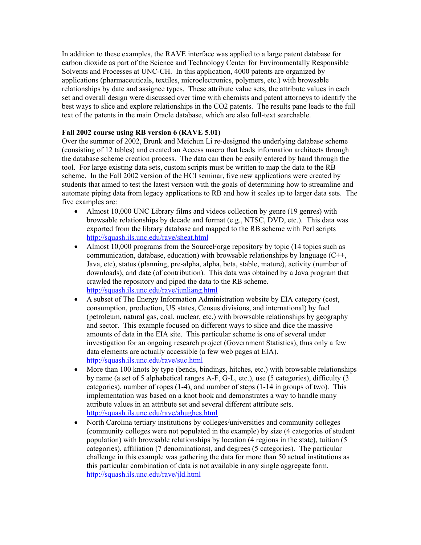In addition to these examples, the RAVE interface was applied to a large patent database for carbon dioxide as part of the Science and Technology Center for Environmentally Responsible Solvents and Processes at UNC-CH. In this application, 4000 patents are organized by applications (pharmaceuticals, textiles, microelectronics, polymers, etc.) with browsable relationships by date and assignee types. These attribute value sets, the attribute values in each set and overall design were discussed over time with chemists and patent attorneys to identify the best ways to slice and explore relationships in the CO2 patents. The results pane leads to the full text of the patents in the main Oracle database, which are also full-text searchable.

# **Fall 2002 course using RB version 6 (RAVE 5.01)**

Over the summer of 2002, Brunk and Meichun Li re-designed the underlying database scheme (consisting of 12 tables) and created an Access macro that leads information architects through the database scheme creation process. The data can then be easily entered by hand through the tool. For large existing data sets, custom scripts must be written to map the data to the RB scheme. In the Fall 2002 version of the HCI seminar, five new applications were created by students that aimed to test the latest version with the goals of determining how to streamline and automate piping data from legacy applications to RB and how it scales up to larger data sets. The five examples are:

- Almost 10,000 UNC Library films and videos collection by genre (19 genres) with browsable relationships by decade and format (e.g., NTSC, DVD, etc.). This data was exported from the library database and mapped to the RB scheme with Perl scripts <http://squash.ils.unc.edu/rave/sheat.html>
- Almost 10,000 programs from the SourceForge repository by topic (14 topics such as communication, database, education) with browsable relationships by language (C++, Java, etc), status (planning, pre-alpha, alpha, beta, stable, mature), activity (number of downloads), and date (of contribution). This data was obtained by a Java program that crawled the repository and piped the data to the RB scheme. <http://squash.ils.unc.edu/rave/junliang.html>
- A subset of The Energy Information Administration website by EIA category (cost, consumption, production, US states, Census divisions, and international) by fuel (petroleum, natural gas, coal, nuclear, etc.) with browsable relationships by geography and sector. This example focused on different ways to slice and dice the massive amounts of data in the EIA site. This particular scheme is one of several under investigation for an ongoing research project (Government Statistics), thus only a few data elements are actually accessible (a few web pages at EIA). <http://squash.ils.unc.edu/rave/suc.html>
- More than 100 knots by type (bends, bindings, hitches, etc.) with browsable relationships by name (a set of 5 alphabetical ranges A-F, G-L, etc.), use (5 categories), difficulty (3 categories), number of ropes  $(1-4)$ , and number of steps  $(1-14$  in groups of two). This implementation was based on a knot book and demonstrates a way to handle many attribute values in an attribute set and several different attribute sets. <http://squash.ils.unc.edu/rave/ahughes.html>
- North Carolina tertiary institutions by colleges/universities and community colleges (community colleges were not populated in the example) by size (4 categories of student population) with browsable relationships by location (4 regions in the state), tuition (5 categories), affiliation (7 denominations), and degrees (5 categories). The particular challenge in this example was gathering the data for more than 50 actual institutions as this particular combination of data is not available in any single aggregate form. <http://squash.ils.unc.edu/rave/jld.html>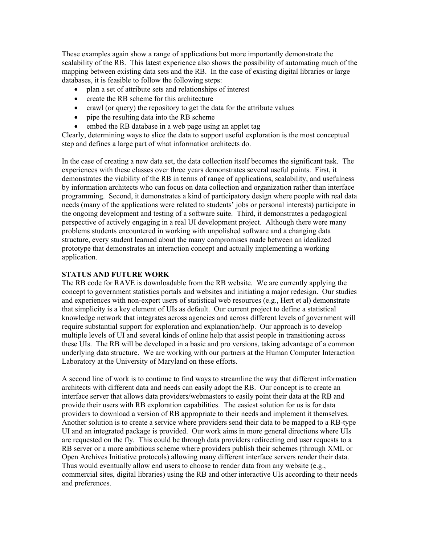These examples again show a range of applications but more importantly demonstrate the scalability of the RB. This latest experience also shows the possibility of automating much of the mapping between existing data sets and the RB. In the case of existing digital libraries or large databases, it is feasible to follow the following steps:

- plan a set of attribute sets and relationships of interest
- create the RB scheme for this architecture
- crawl (or query) the repository to get the data for the attribute values
- pipe the resulting data into the RB scheme
- embed the RB database in a web page using an applet tag

Clearly, determining ways to slice the data to support useful exploration is the most conceptual step and defines a large part of what information architects do.

In the case of creating a new data set, the data collection itself becomes the significant task. The experiences with these classes over three years demonstrates several useful points. First, it demonstrates the viability of the RB in terms of range of applications, scalability, and usefulness by information architects who can focus on data collection and organization rather than interface programming. Second, it demonstrates a kind of participatory design where people with real data needs (many of the applications were related to students' jobs or personal interests) participate in the ongoing development and testing of a software suite. Third, it demonstrates a pedagogical perspective of actively engaging in a real UI development project. Although there were many problems students encountered in working with unpolished software and a changing data structure, every student learned about the many compromises made between an idealized prototype that demonstrates an interaction concept and actually implementing a working application.

# **STATUS AND FUTURE WORK**

The RB code for RAVE is downloadable from the RB website. We are currently applying the concept to government statistics portals and websites and initiating a major redesign. Our studies and experiences with non-expert users of statistical web resources (e.g., Hert et al) demonstrate that simplicity is a key element of UIs as default. Our current project to define a statistical knowledge network that integrates across agencies and across different levels of government will require substantial support for exploration and explanation/help. Our approach is to develop multiple levels of UI and several kinds of online help that assist people in transitioning across these UIs. The RB will be developed in a basic and pro versions, taking advantage of a common underlying data structure. We are working with our partners at the Human Computer Interaction Laboratory at the University of Maryland on these efforts.

A second line of work is to continue to find ways to streamline the way that different information architects with different data and needs can easily adopt the RB. Our concept is to create an interface server that allows data providers/webmasters to easily point their data at the RB and provide their users with RB exploration capabilities. The easiest solution for us is for data providers to download a version of RB appropriate to their needs and implement it themselves. Another solution is to create a service where providers send their data to be mapped to a RB-type UI and an integrated package is provided. Our work aims in more general directions where UIs are requested on the fly. This could be through data providers redirecting end user requests to a RB server or a more ambitious scheme where providers publish their schemes (through XML or Open Archives Initiative protocols) allowing many different interface servers render their data. Thus would eventually allow end users to choose to render data from any website (e.g., commercial sites, digital libraries) using the RB and other interactive UIs according to their needs and preferences.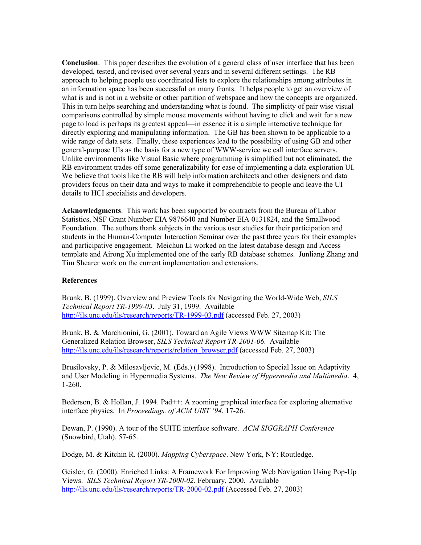**Conclusion**. This paper describes the evolution of a general class of user interface that has been developed, tested, and revised over several years and in several different settings. The RB approach to helping people use coordinated lists to explore the relationships among attributes in an information space has been successful on many fronts. It helps people to get an overview of what is and is not in a website or other partition of webspace and how the concepts are organized. This in turn helps searching and understanding what is found. The simplicity of pair wise visual comparisons controlled by simple mouse movements without having to click and wait for a new page to load is perhaps its greatest appeal—in essence it is a simple interactive technique for directly exploring and manipulating information. The GB has been shown to be applicable to a wide range of data sets. Finally, these experiences lead to the possibility of using GB and other general-purpose UIs as the basis for a new type of WWW-service we call interface servers. Unlike environments like Visual Basic where programming is simplified but not eliminated, the RB environment trades off some generalizability for ease of implementing a data exploration UI. We believe that tools like the RB will help information architects and other designers and data providers focus on their data and ways to make it comprehendible to people and leave the UI details to HCI specialists and developers.

**Acknowledgments**. This work has been supported by contracts from the Bureau of Labor Statistics, NSF Grant Number EIA 9876640 and Number EIA 0131824, and the Smallwood Foundation. The authors thank subjects in the various user studies for their participation and students in the Human-Computer Interaction Seminar over the past three years for their examples and participative engagement. Meichun Li worked on the latest database design and Access template and Airong Xu implemented one of the early RB database schemes. Junliang Zhang and Tim Shearer work on the current implementation and extensions.

### **References**

Brunk, B. (1999). Overview and Preview Tools for Navigating the World-Wide Web, *SILS Technical Report TR-1999-03*. July 31, 1999. Available <http://ils.unc.edu/ils/research/reports/TR-1999-03.pdf>(accessed Feb. 27, 2003)

Brunk, B. & Marchionini, G. (2001). Toward an Agile Views WWW Sitemap Kit: The Generalized Relation Browser, *SILS Technical Report TR-2001-06*. Available [http://ils.unc.edu/ils/research/reports/relation\\_browser.pdf](http://ils.unc.edu/ils/research/reports/relation_browser.pdf) (accessed Feb. 27, 2003)

Brusilovsky, P. & Milosavljevic, M. (Eds.) (1998). Introduction to Special Issue on Adaptivity and User Modeling in Hypermedia Systems. *The New Review of Hypermedia and Multimedia*. 4, 1-260.

Bederson, B. & Hollan, J. 1994. Pad++: A zooming graphical interface for exploring alternative interface physics. In *Proceedings. of ACM UIST '94*. 17-26.

Dewan, P. (1990). A tour of the SUITE interface software. *ACM SIGGRAPH Conference* (Snowbird, Utah). 57-65.

Dodge, M. & Kitchin R. (2000). *Mapping Cyberspace*. New York, NY: Routledge.

Geisler, G. (2000). Enriched Links: A Framework For Improving Web Navigation Using Pop-Up Views. *SILS Technical Report TR-2000-02*. February, 2000. Available <http://ils.unc.edu/ils/research/reports/TR-2000-02.pdf>(Accessed Feb. 27, 2003)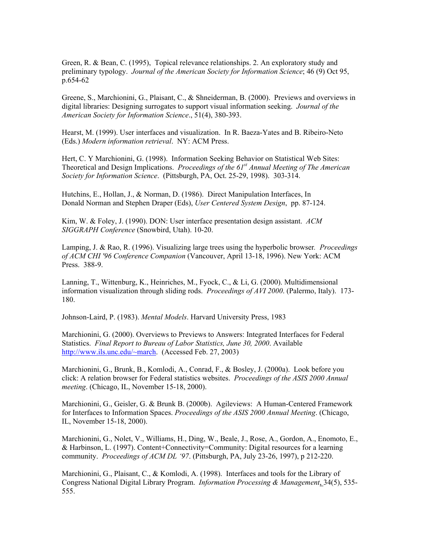Green, R. & Bean, C. (1995), Topical relevance relationships. 2. An exploratory study and preliminary typology. *Journal of the American Society for Information Science*; 46 (9) Oct 95, p.654-62

Greene, S., Marchionini, G., Plaisant, C., & Shneiderman, B. (2000). Previews and overviews in digital libraries: Designing surrogates to support visual information seeking. *Journal of the American Society for Information Science*., 51(4), 380-393.

Hearst, M. (1999). User interfaces and visualization. In R. Baeza-Yates and B. Ribeiro-Neto (Eds.) *Modern information retrieval*. NY: ACM Press.

Hert, C. Y Marchionini, G. (1998). Information Seeking Behavior on Statistical Web Sites: Theoretical and Design Implications. *Proceedings of the 61st Annual Meeting of The American Society for Information Science*. (Pittsburgh, PA, Oct. 25-29, 1998). 303-314.

Hutchins, E., Hollan, J., & Norman, D. (1986). Direct Manipulation Interfaces, In Donald Norman and Stephen Draper (Eds), *User Centered System Design*, pp. 87-124.

Kim, W. & Foley, J. (1990). DON: User interface presentation design assistant. *ACM SIGGRAPH Conference* (Snowbird, Utah). 10-20.

Lamping, J. & Rao, R. (1996). Visualizing large trees using the hyperbolic browser*. Proceedings of ACM CHI '96 Conference Companion* (Vancouver, April 13-18, 1996). New York: ACM Press. 388-9.

Lanning, T., Wittenburg, K., Heinriches, M., Fyock, C., & Li, G. (2000). Multidimensional information visualization through sliding rods. *Proceedings of AVI 2000*. (Palermo, Italy). 173- 180.

Johnson-Laird, P. (1983). *Mental Models*. Harvard University Press, 1983

Marchionini, G. (2000). Overviews to Previews to Answers: Integrated Interfaces for Federal Statistics. *Final Report to Bureau of Labor Statistics, June 30, 2000*. Available [http://www.ils.unc.edu/~march.](http://www.ils.unc.edu/~march) (Accessed Feb. 27, 2003)

Marchionini, G., Brunk, B., Komlodi, A., Conrad, F., & Bosley, J. (2000a). Look before you click: A relation browser for Federal statistics websites. *Proceedings of the ASIS 2000 Annual meeting*. (Chicago, IL, November 15-18, 2000).

Marchionini, G., Geisler, G. & Brunk B. (2000b). Agileviews: A Human-Centered Framework for Interfaces to Information Spaces. *Proceedings of the ASIS 2000 Annual Meeting*. (Chicago, IL, November 15-18, 2000).

Marchionini, G., Nolet, V., Williams, H., Ding, W., Beale, J., Rose, A., Gordon, A., Enomoto, E., & Harbinson, L. (1997). Content+Connectivity=Community: Digital resources for a learning community. *Proceedings of ACM DL '97*. (Pittsburgh, PA, July 23-26, 1997), p 212-220.

Marchionini, G., Plaisant, C., & Komlodi, A. (1998). Interfaces and tools for the Library of Congress National Digital Library Program. *Information Processing & Management*, 34(5), 535- 555.